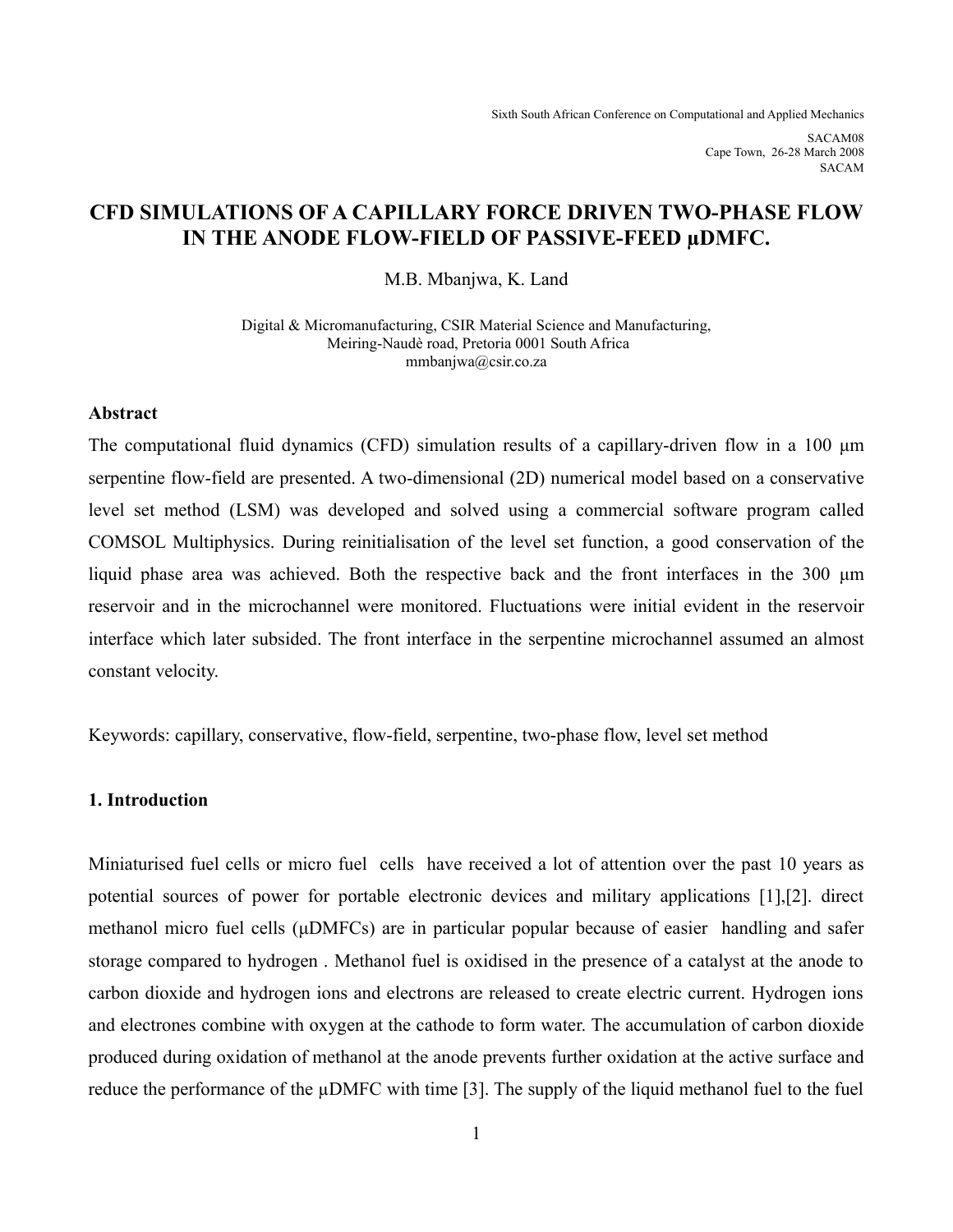Sixth South African Conference on Computational and Applied Mechanics

SACAM08 Cape Town, 26-28 March 2008 ©SACAM

# **CFD SIMULATIONS OF A CAPILLARY FORCE DRIVEN TWO-PHASE FLOW IN THE ANODE FLOW-FIELD OF PASSIVE-FEED µDMFC.**

M.B. Mbanjwa, K. Land

Digital & Micromanufacturing, CSIR Material Science and Manufacturing, Meiring-Naudè road, Pretoria 0001 South Africa mmbanjwa@csir.co.za

### **Abstract**

The computational fluid dynamics (CFD) simulation results of a capillary-driven flow in a 100 μm serpentine flow-field are presented. A two-dimensional (2D) numerical model based on a conservative level set method (LSM) was developed and solved using a commercial software program called COMSOL Multiphysics. During reinitialisation of the level set function, a good conservation of the liquid phase area was achieved. Both the respective back and the front interfaces in the 300 μm reservoir and in the microchannel were monitored. Fluctuations were initial evident in the reservoir interface which later subsided. The front interface in the serpentine microchannel assumed an almost constant velocity.

Keywords: capillary, conservative, flow-field, serpentine, two-phase flow, level set method

## **1. Introduction**

Miniaturised fuel cells or micro fuel cells have received a lot of attention over the past 10 years as potential sources of power for portable electronic devices and military applications [1],[2]. direct methanol micro fuel cells (μDMFCs) are in particular popular because of easier handling and safer storage compared to hydrogen . Methanol fuel is oxidised in the presence of a catalyst at the anode to carbon dioxide and hydrogen ions and electrons are released to create electric current. Hydrogen ions and electrones combine with oxygen at the cathode to form water. The accumulation of carbon dioxide produced during oxidation of methanol at the anode prevents further oxidation at the active surface and reduce the performance of the µDMFC with time [3]. The supply of the liquid methanol fuel to the fuel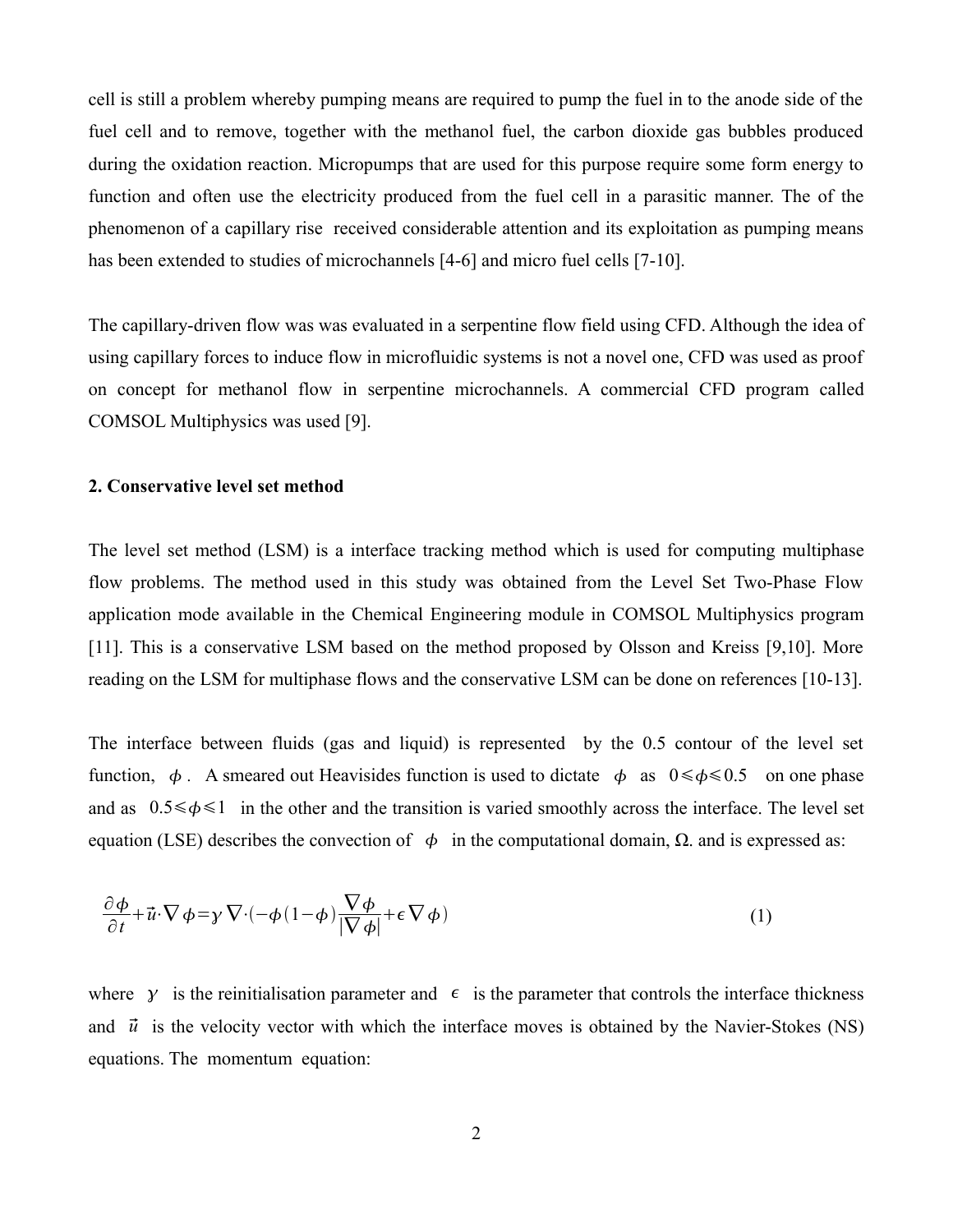cell is still a problem whereby pumping means are required to pump the fuel in to the anode side of the fuel cell and to remove, together with the methanol fuel, the carbon dioxide gas bubbles produced during the oxidation reaction. Micropumps that are used for this purpose require some form energy to function and often use the electricity produced from the fuel cell in a parasitic manner. The of the phenomenon of a capillary rise received considerable attention and its exploitation as pumping means has been extended to studies of microchannels [4-6] and micro fuel cells [7-10].

The capillary-driven flow was was evaluated in a serpentine flow field using CFD. Although the idea of using capillary forces to induce flow in microfluidic systems is not a novel one, CFD was used as proof on concept for methanol flow in serpentine microchannels. A commercial CFD program called COMSOL Multiphysics was used [9].

### **2. Conservative level set method**

The level set method (LSM) is a interface tracking method which is used for computing multiphase flow problems. The method used in this study was obtained from the Level Set Two-Phase Flow application mode available in the Chemical Engineering module in COMSOL Multiphysics program [11]. This is a conservative LSM based on the method proposed by Olsson and Kreiss [9,10]. More reading on the LSM for multiphase flows and the conservative LSM can be done on references [10-13].

The interface between fluids (gas and liquid) is represented by the 0.5 contour of the level set function,  $\phi$ . A smeared out Heavisides function is used to dictate  $\phi$  as  $0 \le \phi \le 0.5$  on one phase and as  $0.5 \le \phi \le 1$  in the other and the transition is varied smoothly across the interface. The level set equation (LSE) describes the convection of  $\phi$  in the computational domain, Ω, and is expressed as:

$$
\frac{\partial \phi}{\partial t} + \vec{u} \cdot \nabla \phi = \gamma \nabla \cdot (-\phi (1 - \phi) \frac{\nabla \phi}{|\nabla \phi|} + \epsilon \nabla \phi)
$$
\n(1)

where  $\gamma$  is the reinitialisation parameter and  $\epsilon$  is the parameter that controls the interface thickness and  $\vec{u}$  is the velocity vector with which the interface moves is obtained by the Navier-Stokes (NS) equations. The momentum equation: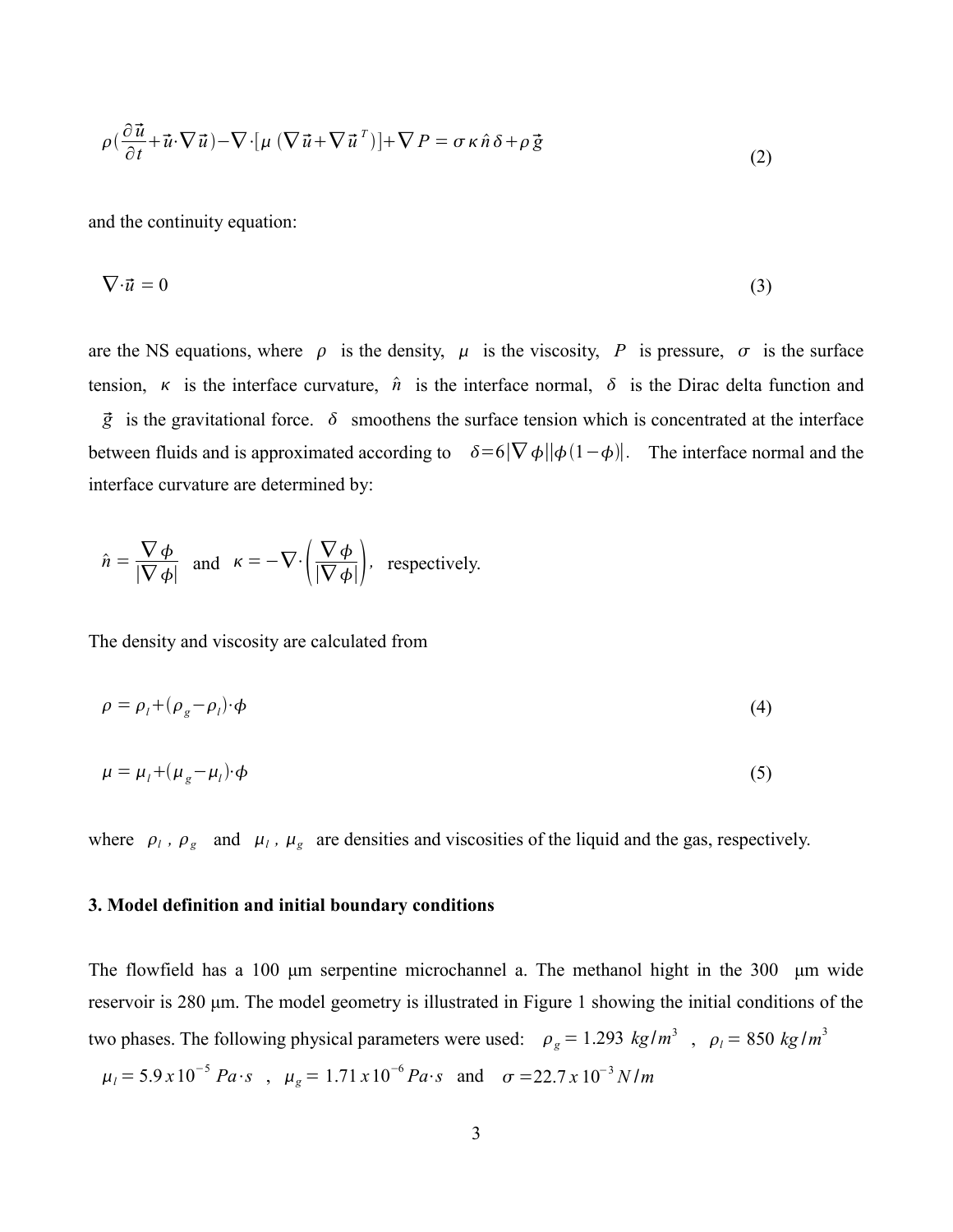$$
\rho\left(\frac{\partial\vec{u}}{\partial t} + \vec{u}\cdot\nabla\vec{u}\right) - \nabla\cdot\left[\mu\left(\nabla\vec{u} + \nabla\vec{u}^T\right)\right] + \nabla P = \sigma\kappa\hat{n}\delta + \rho\vec{g}
$$
\n(2)

and the continuity equation:

$$
\nabla \cdot \vec{u} = 0 \tag{3}
$$

are the NS equations, where  $\rho$  is the density,  $\mu$  is the viscosity, *P* is pressure,  $\sigma$  is the surface tension,  $\kappa$  is the interface curvature,  $\hat{n}$  is the interface normal,  $\delta$  is the Dirac delta function and  $\vec{g}$  is the gravitational force.  $\delta$  smoothens the surface tension which is concentrated at the interface between fluids and is approximated according to  $\delta = 6|\nabla \phi||\phi(1-\phi)|$ . The interface normal and the interface curvature are determined by:

$$
\hat{n} = \frac{\nabla \phi}{|\nabla \phi|} \text{ and } \kappa = -\nabla \cdot \left(\frac{\nabla \phi}{|\nabla \phi|}\right), \text{ respectively.}
$$

The density and viscosity are calculated from

$$
\rho = \rho_l + (\rho_g - \rho_l) \cdot \phi \tag{4}
$$

$$
\mu = \mu_l + (\mu_g - \mu_l) \cdot \phi \tag{5}
$$

where  $\rho_l$ ,  $\rho_g$  and  $\mu_l$ ,  $\mu_g$  are densities and viscosities of the liquid and the gas, respectively.

#### **3. Model definition and initial boundary conditions**

The flowfield has a 100 μm serpentine microchannel a. The methanol hight in the 300 μm wide reservoir is 280 μm. The model geometry is illustrated in Figure 1 showing the initial conditions of the two phases. The following physical parameters were used:  $\rho_g = 1.293 \ kg/m^3$ ,  $\rho_l = 850 \ kg/m^3$  $\mu_l = 5.9 \times 10^{-5}$  *Pa*⋅*s* ,  $\mu_g = 1.71 \times 10^{-6}$  *Pa*⋅*s* and  $\sigma = 22.7 \times 10^{-3}$  *N* /*m*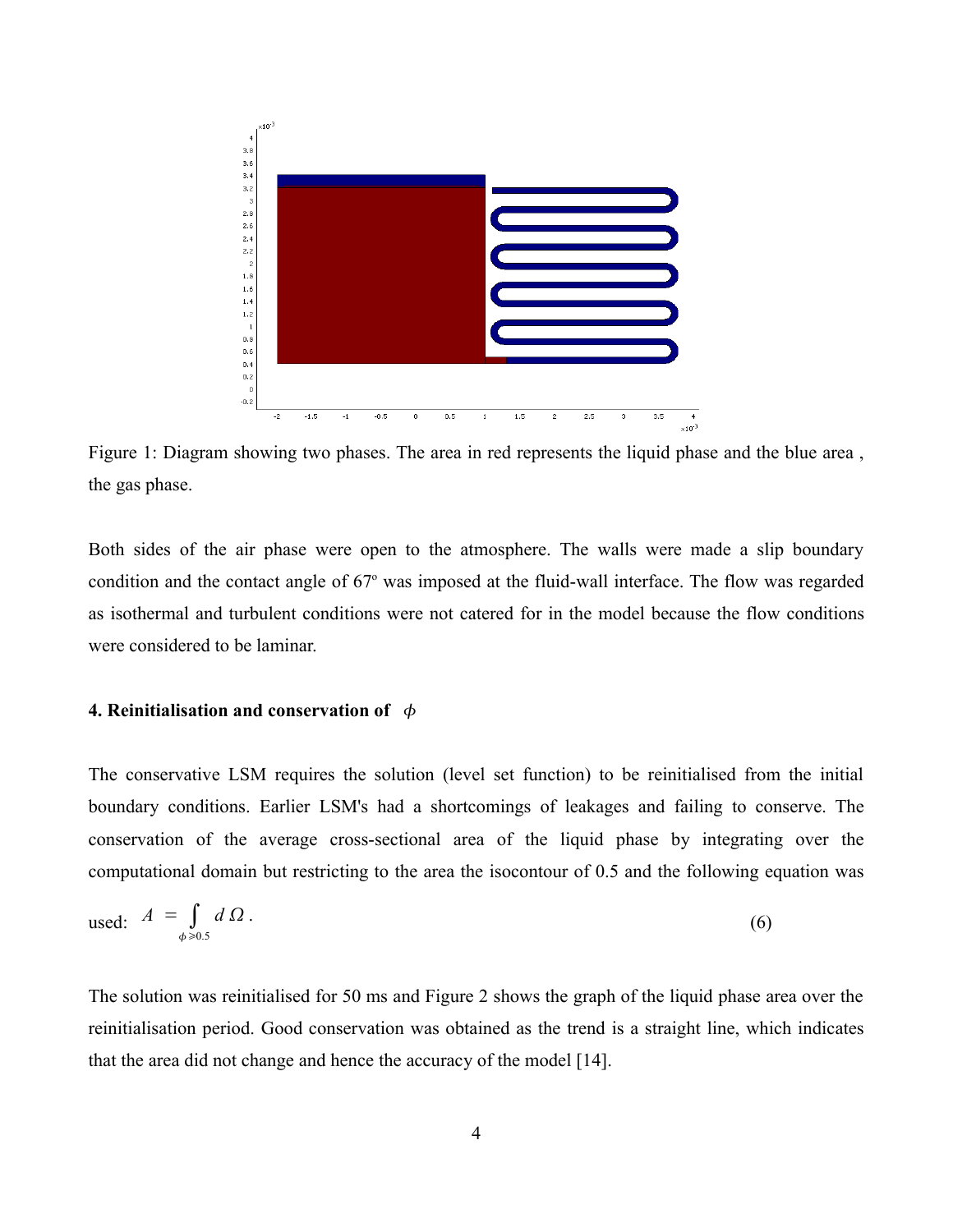

Figure 1: Diagram showing two phases. The area in red represents the liquid phase and the blue area , the gas phase.

Both sides of the air phase were open to the atmosphere. The walls were made a slip boundary condition and the contact angle of 67° was imposed at the fluid-wall interface. The flow was regarded as isothermal and turbulent conditions were not catered for in the model because the flow conditions were considered to be laminar.

## **4. Reinitialisation and conservation of**

The conservative LSM requires the solution (level set function) to be reinitialised from the initial boundary conditions. Earlier LSM's had a shortcomings of leakages and failing to conserve. The conservation of the average cross-sectional area of the liquid phase by integrating over the computational domain but restricting to the area the isocontour of 0.5 and the following equation was

used: 
$$
A = \int_{\phi \ge 0.5} d\Omega.
$$
 (6)

The solution was reinitialised for 50 ms and Figure 2 shows the graph of the liquid phase area over the reinitialisation period. Good conservation was obtained as the trend is a straight line, which indicates that the area did not change and hence the accuracy of the model [14].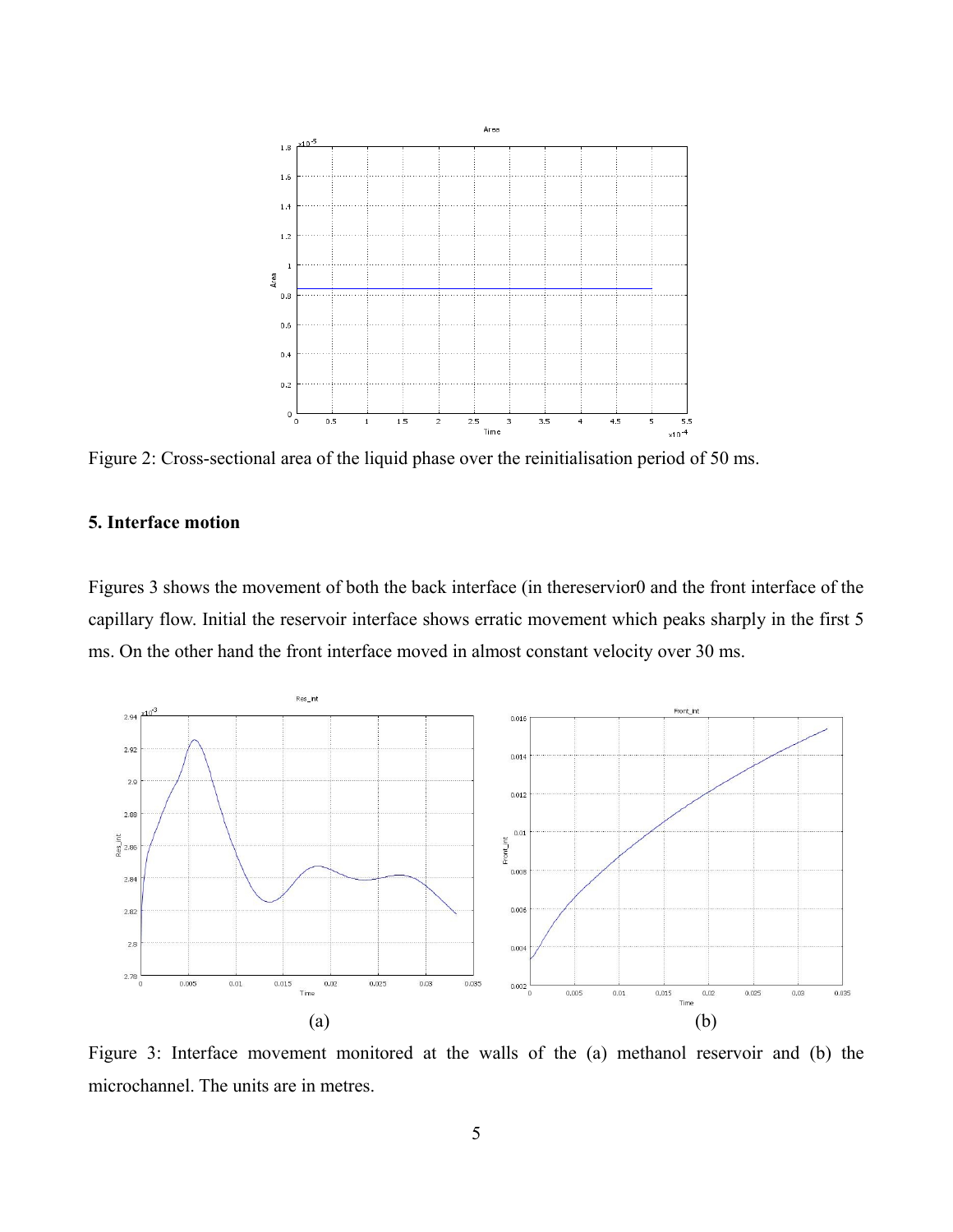

Figure 2: Cross-sectional area of the liquid phase over the reinitialisation period of 50 ms.

## **5. Interface motion**

Figures 3 shows the movement of both the back interface (in thereservior0 and the front interface of the capillary flow. Initial the reservoir interface shows erratic movement which peaks sharply in the first 5 ms. On the other hand the front interface moved in almost constant velocity over 30 ms.



Figure 3: Interface movement monitored at the walls of the (a) methanol reservoir and (b) the microchannel. The units are in metres.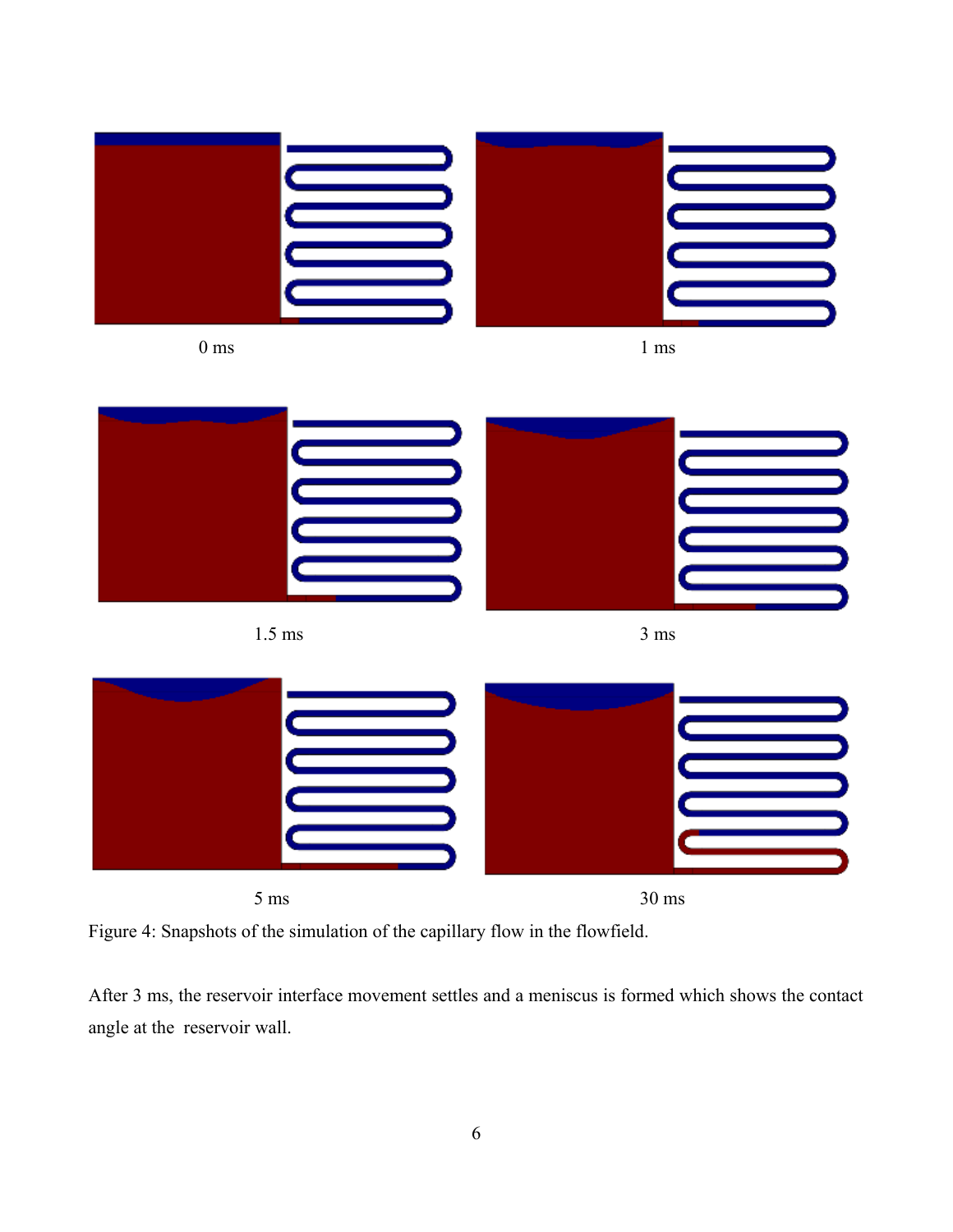



After 3 ms, the reservoir interface movement settles and a meniscus is formed which shows the contact angle at the reservoir wall.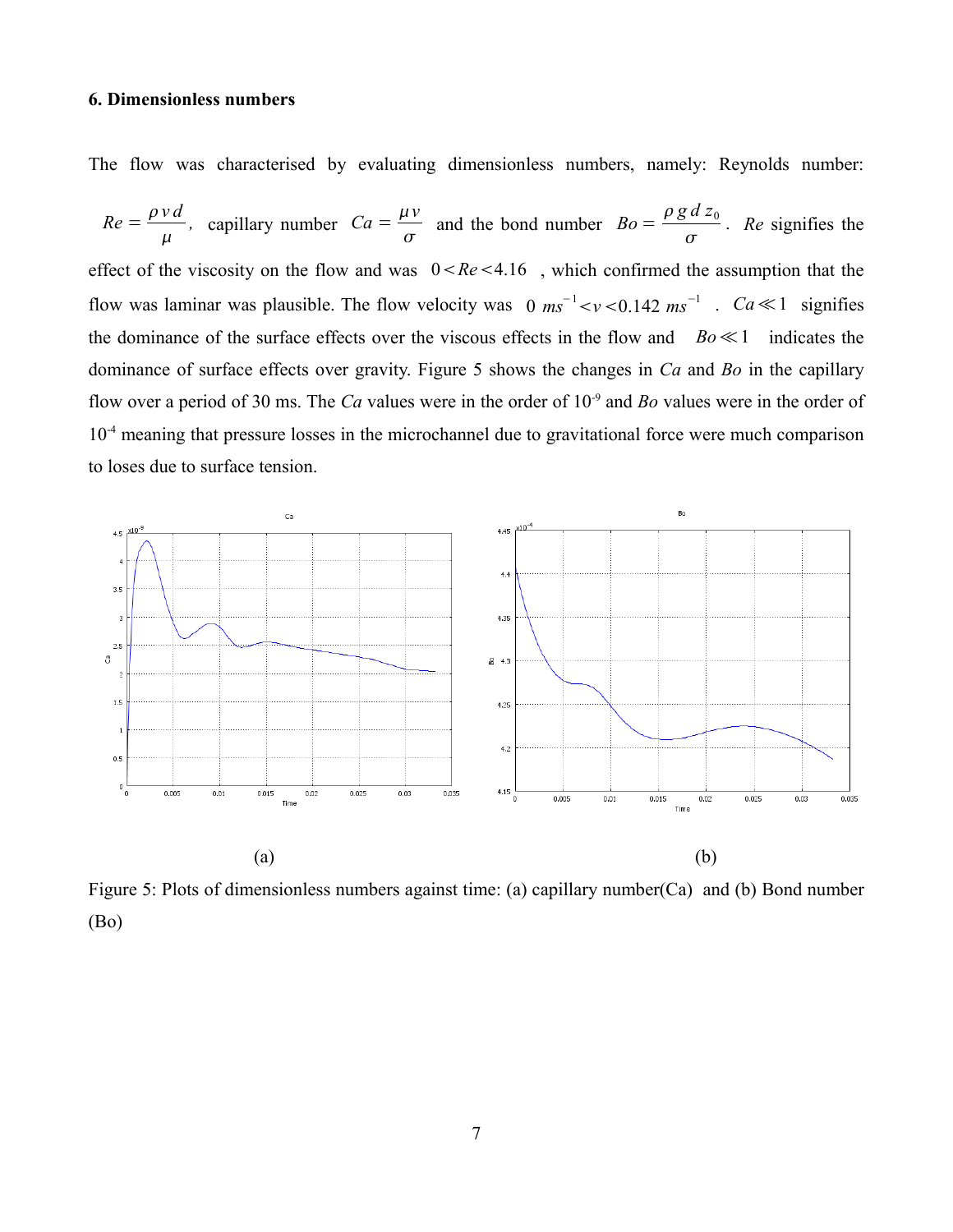## **6. Dimensionless numbers**

The flow was characterised by evaluating dimensionless numbers, namely: Reynolds number:

$$
Re = \frac{\rho v d}{\mu}
$$
, capillary number  $Ca = \frac{\mu v}{\sigma}$  and the bond number  $Bo = \frac{\rho g d z_0}{\sigma}$ . Re signifies the effect of the viscosity on the flow and was  $0 < Re < 4.16$ , which confirmed the assumption that the flow was laminar was plausible. The flow velocity was  $0 \, \text{ms}^{-1} < \nu < 0.142 \, \text{ms}^{-1}$ .  $Ca \ll 1$  signifies the dominance of the surface effects over the viscous effects in the flow and  $Bo \ll 1$  indicates the dominance of surface effects over gravity. Figure 5 shows the changes in  $Ca$  and  $Bo$  in the capillary flow over a period of 30 ms. The  $Ca$  values were in the order of  $10^{-9}$  and  $Bo$  values were in the order of  $10^{-4}$  meaning that pressure losses in the microchannel due to gravitational force were much comparison to loses due to surface tension.



Figure 5: Plots of dimensionless numbers against time: (a) capillary number(Ca) and (b) Bond number (Bo)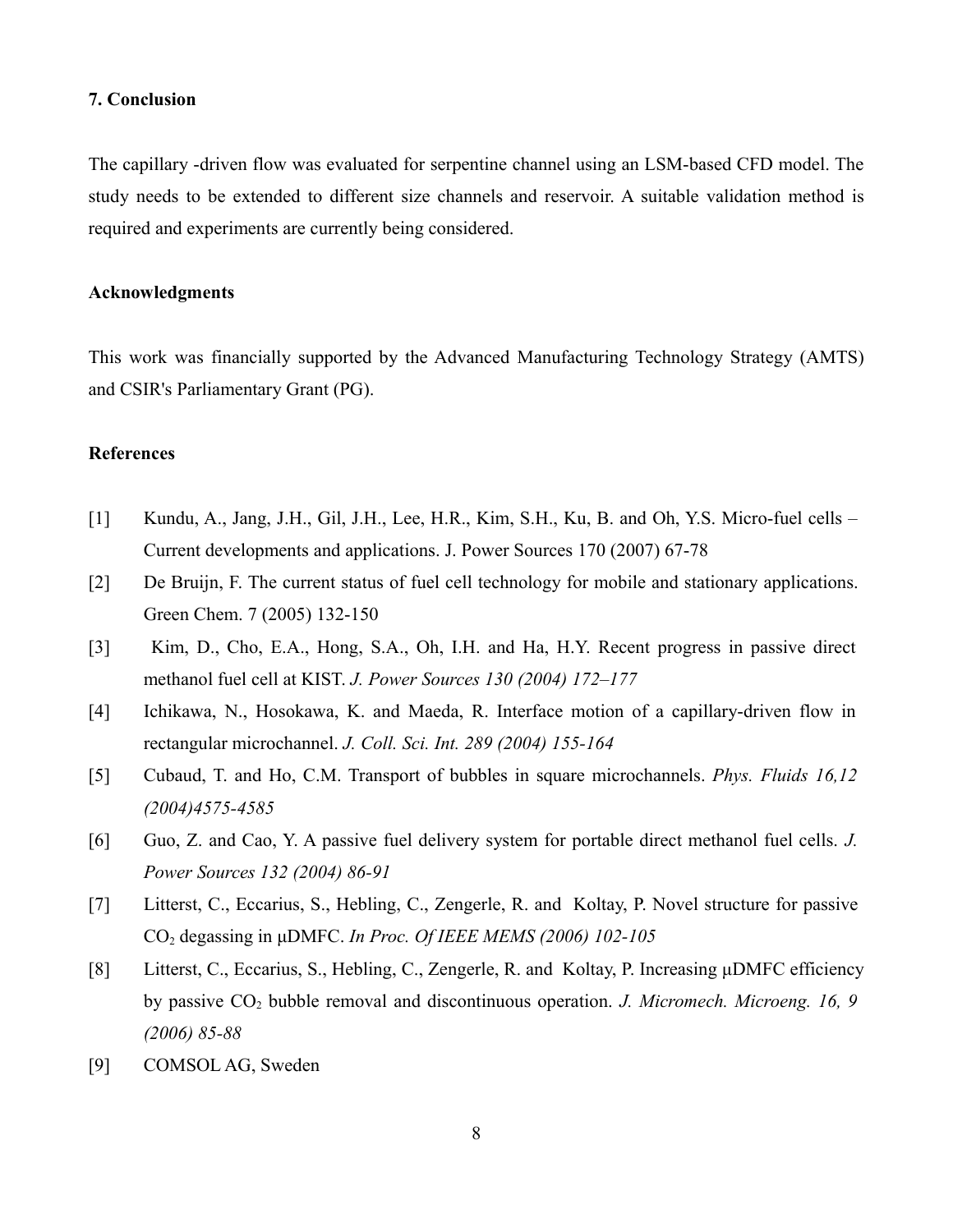#### **7. Conclusion**

The capillary -driven flow was evaluated for serpentine channel using an LSM-based CFD model. The study needs to be extended to different size channels and reservoir. A suitable validation method is required and experiments are currently being considered.

### **Acknowledgments**

This work was financially supported by the Advanced Manufacturing Technology Strategy (AMTS) and CSIR's Parliamentary Grant (PG).

## **References**

- [1] Kundu, A., Jang, J.H., Gil, J.H., Lee, H.R., Kim, S.H., Ku, B. and Oh, Y.S. Micro-fuel cells Current developments and applications. J. Power Sources 170 (2007) 67-78
- [2] De Bruijn, F. The current status of fuel cell technology for mobile and stationary applications. Green Chem. 7 (2005) 132-150
- [3] Kim, D., Cho, E.A., Hong, S.A., Oh, I.H. and Ha, H.Y. Recent progress in passive direct methanol fuel cell at KIST. *J. Power Sources 130 (2004) 172–177*
- [4] Ichikawa, N., Hosokawa, K. and Maeda, R. Interface motion of a capillary-driven flow in rectangular microchannel. *J. Coll. Sci. Int. 289 (2004) 155-164*
- [5] Cubaud, T. and Ho, C.M. Transport of bubbles in square microchannels. *Phys. Fluids 16,12 (2004)4575-4585*
- [6] Guo, Z. and Cao, Y. A passive fuel delivery system for portable direct methanol fuel cells. *J. Power Sources 132 (2004) 86-91*
- [7] Litterst, C., Eccarius, S., Hebling, C., Zengerle, R. and Koltay, P. Novel structure for passive CO2 degassing in μDMFC. *In Proc. Of IEEE MEMS (2006) 102-105*
- [8] Litterst, C., Eccarius, S., Hebling, C., Zengerle, R. and Koltay, P. Increasing μDMFC efficiency by passive CO<sub>2</sub> bubble removal and discontinuous operation. *J. Micromech. Microeng. 16, 9 (2006) 85-88*
- [9] COMSOL AG, Sweden